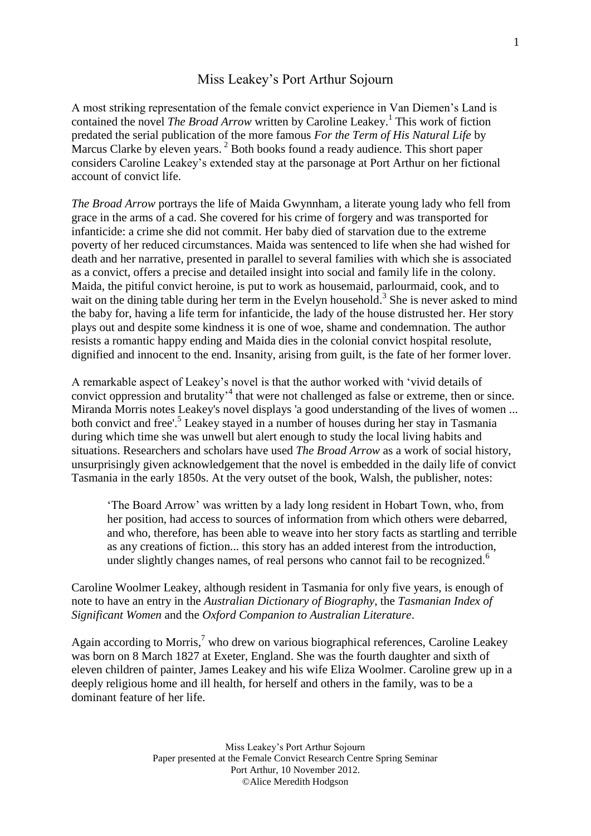## Miss Leakey's Port Arthur Sojourn

A most striking representation of the female convict experience in Van Diemen's Land is contained the novel *The Broad Arrow* written by Caroline Leakey. 1 This work of fiction predated the serial publication of the more famous *For the Term of His Natural Life* by Marcus Clarke by eleven years.<sup>2</sup> Both books found a ready audience. This short paper considers Caroline Leakey's extended stay at the parsonage at Port Arthur on her fictional account of convict life.

*The Broad Arrow* portrays the life of Maida Gwynnham, a literate young lady who fell from grace in the arms of a cad. She covered for his crime of forgery and was transported for infanticide: a crime she did not commit. Her baby died of starvation due to the extreme poverty of her reduced circumstances. Maida was sentenced to life when she had wished for death and her narrative, presented in parallel to several families with which she is associated as a convict, offers a precise and detailed insight into social and family life in the colony. Maida, the pitiful convict heroine, is put to work as housemaid, parlourmaid, cook, and to wait on the dining table during her term in the Evelyn household.<sup>3</sup> She is never asked to mind the baby for, having a life term for infanticide, the lady of the house distrusted her. Her story plays out and despite some kindness it is one of woe, shame and condemnation. The author resists a romantic happy ending and Maida dies in the colonial convict hospital resolute, dignified and innocent to the end. Insanity, arising from guilt, is the fate of her former lover.

A remarkable aspect of Leakey's novel is that the author worked with 'vivid details of convict oppression and brutality' 4 that were not challenged as false or extreme, then or since. Miranda Morris notes Leakey's novel displays 'a good understanding of the lives of women ... both convict and free'. 5 Leakey stayed in a number of houses during her stay in Tasmania during which time she was unwell but alert enough to study the local living habits and situations. Researchers and scholars have used *The Broad Arrow* as a work of social history, unsurprisingly given acknowledgement that the novel is embedded in the daily life of convict Tasmania in the early 1850s. At the very outset of the book, Walsh, the publisher, notes:

'The Board Arrow' was written by a lady long resident in Hobart Town, who, from her position, had access to sources of information from which others were debarred, and who, therefore, has been able to weave into her story facts as startling and terrible as any creations of fiction... this story has an added interest from the introduction, under slightly changes names, of real persons who cannot fail to be recognized.<sup>6</sup>

Caroline Woolmer Leakey, although resident in Tasmania for only five years, is enough of note to have an entry in the *Australian Dictionary of Biography*, the *Tasmanian Index of Significant Women* and the *Oxford Companion to Australian Literature*.

Again according to Morris,<sup>7</sup> who drew on various biographical references, Caroline Leakey was born on 8 March 1827 at Exeter, England. She was the fourth daughter and sixth of eleven children of painter, James Leakey and his wife Eliza Woolmer. Caroline grew up in a deeply religious home and ill health, for herself and others in the family, was to be a dominant feature of her life.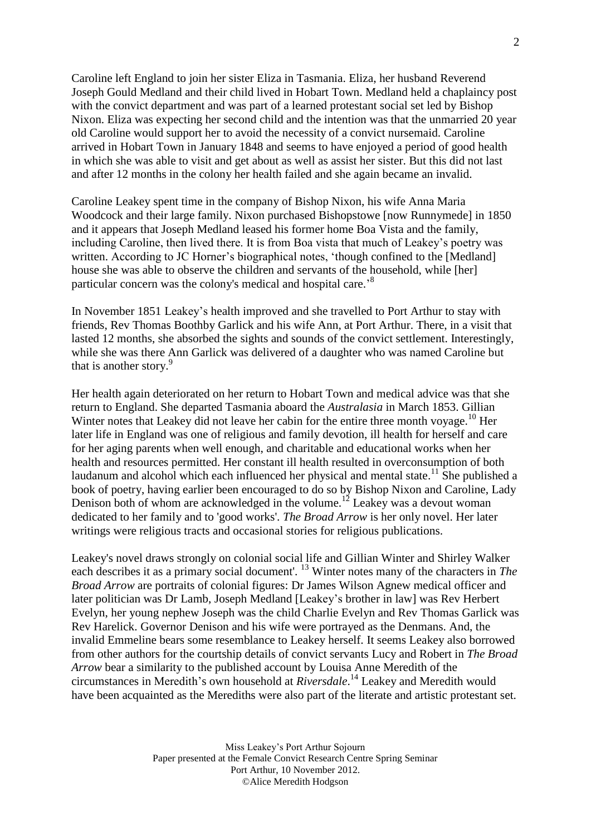Caroline left England to join her sister Eliza in Tasmania. Eliza, her husband Reverend Joseph Gould Medland and their child lived in Hobart Town. Medland held a chaplaincy post with the convict department and was part of a learned protestant social set led by Bishop Nixon. Eliza was expecting her second child and the intention was that the unmarried 20 year old Caroline would support her to avoid the necessity of a convict nursemaid. Caroline arrived in Hobart Town in January 1848 and seems to have enjoyed a period of good health in which she was able to visit and get about as well as assist her sister. But this did not last and after 12 months in the colony her health failed and she again became an invalid.

Caroline Leakey spent time in the company of Bishop Nixon, his wife Anna Maria Woodcock and their large family. Nixon purchased Bishopstowe [now Runnymede] in 1850 and it appears that Joseph Medland leased his former home Boa Vista and the family, including Caroline, then lived there. It is from Boa vista that much of Leakey's poetry was written. According to JC Horner's biographical notes, 'though confined to the [Medland] house she was able to observe the children and servants of the household, while [her] particular concern was the colony's medical and hospital care.<sup>8</sup>

In November 1851 Leakey's health improved and she travelled to Port Arthur to stay with friends, Rev Thomas Boothby Garlick and his wife Ann, at Port Arthur. There, in a visit that lasted 12 months, she absorbed the sights and sounds of the convict settlement. Interestingly, while she was there Ann Garlick was delivered of a daughter who was named Caroline but that is another story.<sup>9</sup>

Her health again deteriorated on her return to Hobart Town and medical advice was that she return to England. She departed Tasmania aboard the *Australasia* in March 1853. Gillian Winter notes that Leakey did not leave her cabin for the entire three month voyage.<sup>10</sup> Her later life in England was one of religious and family devotion, ill health for herself and care for her aging parents when well enough, and charitable and educational works when her health and resources permitted. Her constant ill health resulted in overconsumption of both laudanum and alcohol which each influenced her physical and mental state.<sup>11</sup> She published a book of poetry, having earlier been encouraged to do so by Bishop Nixon and Caroline, Lady Denison both of whom are acknowledged in the volume.<sup>12</sup> Leakey was a devout woman dedicated to her family and to 'good works'. *The Broad Arrow* is her only novel. Her later writings were religious tracts and occasional stories for religious publications.

Leakey's novel draws strongly on colonial social life and Gillian Winter and Shirley Walker each describes it as a primary social document'. <sup>13</sup> Winter notes many of the characters in *The Broad Arrow* are portraits of colonial figures: Dr James Wilson Agnew medical officer and later politician was Dr Lamb, Joseph Medland [Leakey's brother in law] was Rev Herbert Evelyn, her young nephew Joseph was the child Charlie Evelyn and Rev Thomas Garlick was Rev Harelick. Governor Denison and his wife were portrayed as the Denmans. And, the invalid Emmeline bears some resemblance to Leakey herself. It seems Leakey also borrowed from other authors for the courtship details of convict servants Lucy and Robert in *The Broad Arrow* bear a similarity to the published account by Louisa Anne Meredith of the circumstances in Meredith's own household at *Riversdale*. <sup>14</sup> Leakey and Meredith would have been acquainted as the Merediths were also part of the literate and artistic protestant set.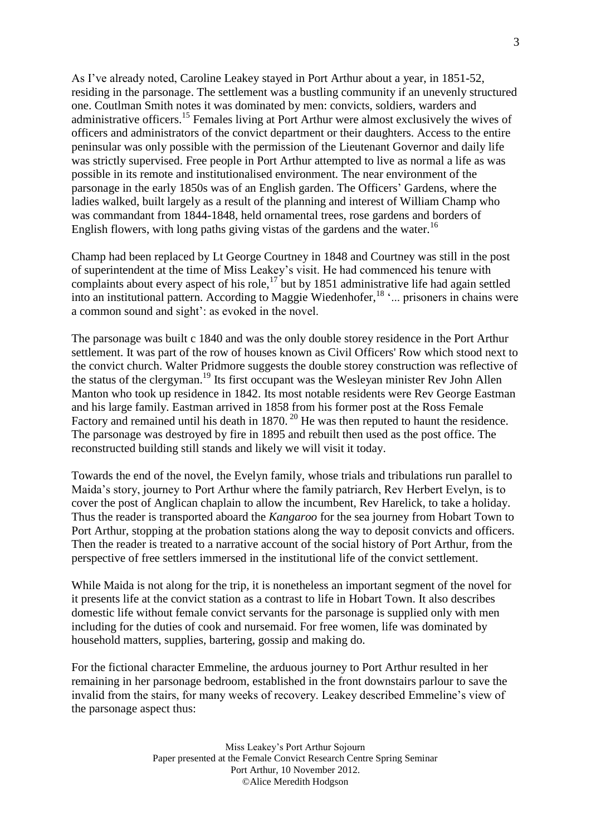As I've already noted, Caroline Leakey stayed in Port Arthur about a year, in 1851-52, residing in the parsonage. The settlement was a bustling community if an unevenly structured one. Coutlman Smith notes it was dominated by men: convicts, soldiers, warders and administrative officers.<sup>15</sup> Females living at Port Arthur were almost exclusively the wives of officers and administrators of the convict department or their daughters. Access to the entire peninsular was only possible with the permission of the Lieutenant Governor and daily life was strictly supervised. Free people in Port Arthur attempted to live as normal a life as was possible in its remote and institutionalised environment. The near environment of the parsonage in the early 1850s was of an English garden. The Officers' Gardens, where the ladies walked, built largely as a result of the planning and interest of William Champ who was commandant from 1844-1848, held ornamental trees, rose gardens and borders of English flowers, with long paths giving vistas of the gardens and the water.<sup>16</sup>

Champ had been replaced by Lt George Courtney in 1848 and Courtney was still in the post of superintendent at the time of Miss Leakey's visit. He had commenced his tenure with complaints about every aspect of his role,<sup>17</sup> but by 1851 administrative life had again settled into an institutional pattern. According to Maggie Wiedenhofer,<sup>18</sup> '... prisoners in chains were a common sound and sight': as evoked in the novel.

The parsonage was built c 1840 and was the only double storey residence in the Port Arthur settlement. It was part of the row of houses known as Civil Officers' Row which stood next to the convict church. Walter Pridmore suggests the double storey construction was reflective of the status of the clergyman.<sup>19</sup> Its first occupant was the Wesleyan minister Rev John Allen Manton who took up residence in 1842. Its most notable residents were Rev George Eastman and his large family. Eastman arrived in 1858 from his former post at the Ross Female Factory and remained until his death in 1870.<sup>20</sup> He was then reputed to haunt the residence. The parsonage was destroyed by fire in 1895 and rebuilt then used as the post office. The reconstructed building still stands and likely we will visit it today.

Towards the end of the novel, the Evelyn family, whose trials and tribulations run parallel to Maida's story, journey to Port Arthur where the family patriarch, Rev Herbert Evelyn, is to cover the post of Anglican chaplain to allow the incumbent, Rev Harelick, to take a holiday. Thus the reader is transported aboard the *Kangaroo* for the sea journey from Hobart Town to Port Arthur, stopping at the probation stations along the way to deposit convicts and officers. Then the reader is treated to a narrative account of the social history of Port Arthur, from the perspective of free settlers immersed in the institutional life of the convict settlement.

While Maida is not along for the trip, it is nonetheless an important segment of the novel for it presents life at the convict station as a contrast to life in Hobart Town. It also describes domestic life without female convict servants for the parsonage is supplied only with men including for the duties of cook and nursemaid. For free women, life was dominated by household matters, supplies, bartering, gossip and making do.

For the fictional character Emmeline, the arduous journey to Port Arthur resulted in her remaining in her parsonage bedroom, established in the front downstairs parlour to save the invalid from the stairs, for many weeks of recovery. Leakey described Emmeline's view of the parsonage aspect thus: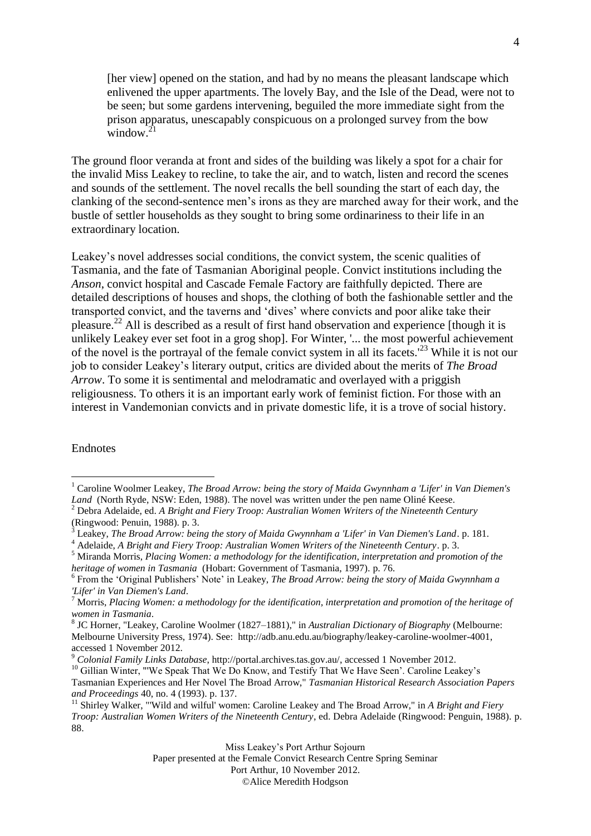[her view] opened on the station, and had by no means the pleasant landscape which enlivened the upper apartments. The lovely Bay, and the Isle of the Dead, were not to be seen; but some gardens intervening, beguiled the more immediate sight from the prison apparatus, unescapably conspicuous on a prolonged survey from the bow window. $^{21}$ 

The ground floor veranda at front and sides of the building was likely a spot for a chair for the invalid Miss Leakey to recline, to take the air, and to watch, listen and record the scenes and sounds of the settlement. The novel recalls the bell sounding the start of each day, the clanking of the second-sentence men's irons as they are marched away for their work, and the bustle of settler households as they sought to bring some ordinariness to their life in an extraordinary location.

Leakey's novel addresses social conditions, the convict system, the scenic qualities of Tasmania, and the fate of Tasmanian Aboriginal people. Convict institutions including the *Anson*, convict hospital and Cascade Female Factory are faithfully depicted. There are detailed descriptions of houses and shops, the clothing of both the fashionable settler and the transported convict, and the taverns and 'dives' where convicts and poor alike take their pleasure.<sup>22</sup> All is described as a result of first hand observation and experience [though it is unlikely Leakey ever set foot in a grog shop]. For Winter, '... the most powerful achievement of the novel is the portrayal of the female convict system in all its facets.'<sup>23</sup> While it is not our job to consider Leakey's literary output, critics are divided about the merits of *The Broad Arrow*. To some it is sentimental and melodramatic and overlayed with a priggish religiousness. To others it is an important early work of feminist fiction. For those with an interest in Vandemonian convicts and in private domestic life, it is a trove of social history.

## Endnotes

<u>.</u>

Port Arthur, 10 November 2012.

©Alice Meredith Hodgson

<sup>&</sup>lt;sup>1</sup> Caroline Woolmer Leakey, *The Broad Arrow: being the story of Maida Gwynnham a 'Lifer' in Van Diemen's Land* (North Ryde, NSW: Eden, 1988). The novel was written under the pen name Oliné Keese.

<sup>2</sup> Debra Adelaide, ed. *A Bright and Fiery Troop: Australian Women Writers of the Nineteenth Century* (Ringwood: Penuin, 1988). p. 3.

<sup>3</sup> Leakey, *The Broad Arrow: being the story of Maida Gwynnham a 'Lifer' in Van Diemen's Land*. p. 181.

<sup>4</sup> Adelaide, *A Bright and Fiery Troop: Australian Women Writers of the Nineteenth Century*. p. 3.

<sup>5</sup> Miranda Morris, *Placing Women: a methodology for the identification, interpretation and promotion of the heritage of women in Tasmania* (Hobart: Government of Tasmania, 1997). p. 76.

<sup>&</sup>lt;sup>6</sup> From the 'Original Publishers' Note' in Leakey, *The Broad Arrow: being the story of Maida Gwynnham a 'Lifer' in Van Diemen's Land*.

<sup>7</sup> Morris, *Placing Women: a methodology for the identification, interpretation and promotion of the heritage of women in Tasmania*.

<sup>8</sup> JC Horner, "Leakey, Caroline Woolmer (1827–1881)," in *Australian Dictionary of Biography* (Melbourne: Melbourne University Press, 1974). See: http://adb.anu.edu.au/biography/leakey-caroline-woolmer-4001, accessed 1 November 2012.

<sup>9</sup> *Colonial Family Links Database*, http://portal.archives.tas.gov.au/, accessed 1 November 2012.

<sup>&</sup>lt;sup>10</sup> Gillian Winter, "'We Speak That We Do Know, and Testify That We Have Seen'. Caroline Leakey's Tasmanian Experiences and Her Novel The Broad Arrow," *Tasmanian Historical Research Association Papers and Proceedings* 40, no. 4 (1993). p. 137.

<sup>11</sup> Shirley Walker, "'Wild and wilful' women: Caroline Leakey and The Broad Arrow," in *A Bright and Fiery Troop: Australian Women Writers of the Nineteenth Century*, ed. Debra Adelaide (Ringwood: Penguin, 1988). p. 88.